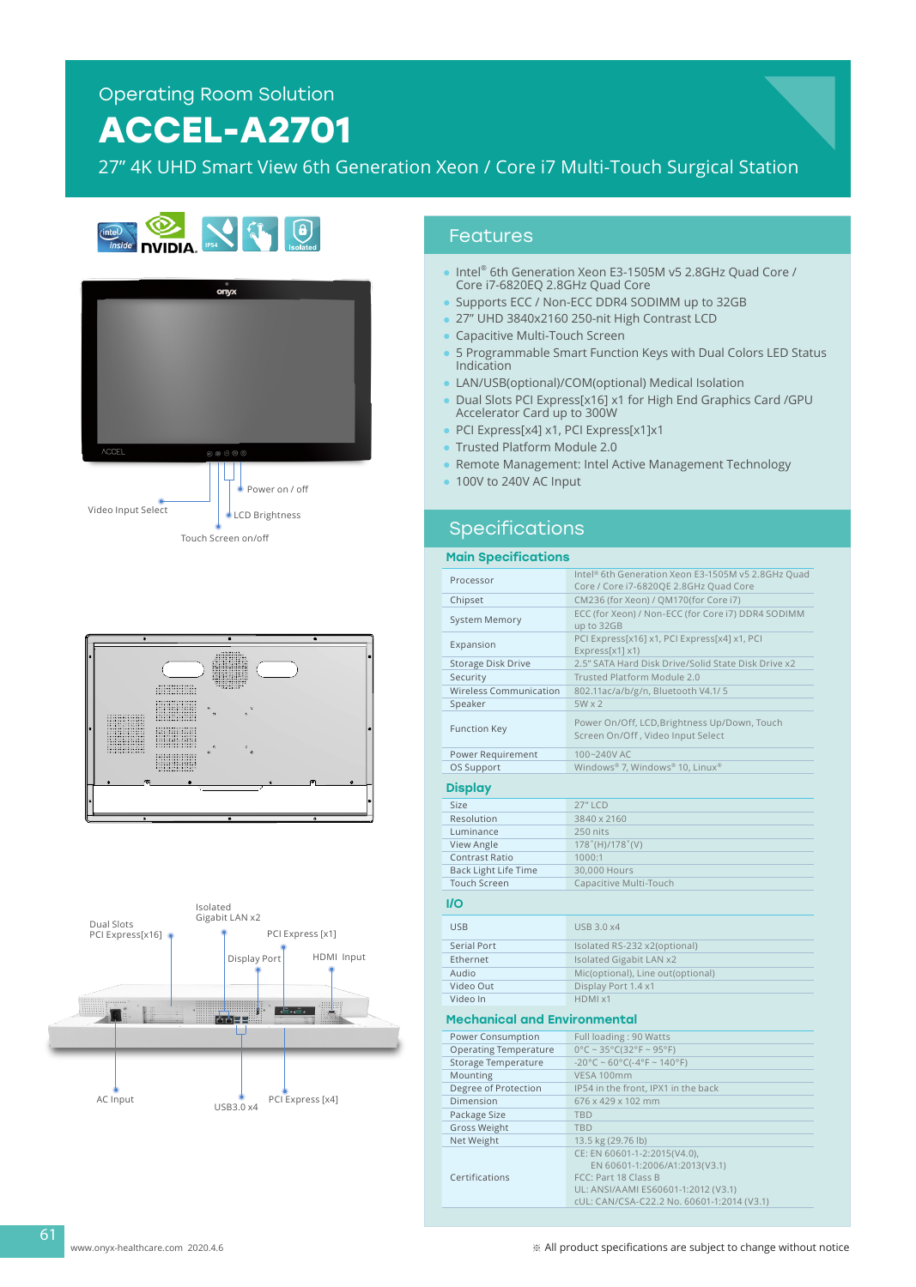# **ACCEL-A2701**

27" 4K UHD Smart View 6th Generation Xeon / Core i7 Multi-Touch Surgical Station









### Features

- Intel® 6th Generation Xeon E3-1505M v5 2.8GHz Quad Core / Core i7-6820EQ 2.8GHz Quad Core
- Supports ECC / Non-ECC DDR4 SODIMM up to 32GB
- 27" UHD 3840x2160 250-nit High Contrast LCD
- Capacitive Multi-Touch Screen
- 5 Programmable Smart Function Keys with Dual Colors LED Status Indication
- LAN/USB(optional)/COM(optional) Medical Isolation
- Dual Slots PCI Express[x16] x1 for High End Graphics Card /GPU Accelerator Card up to 300W
- PCI Express[x4] x1, PCI Express[x1]x1
- Trusted Platform Module 2.0
- Remote Management: Intel Active Management Technology
- 100V to 240V AC Input

### Specifications

#### Main Specifications

| Processor                           | Intel® 6th Generation Xeon E3-1505M v5 2.8GHz Quad<br>Core / Core i7-6820QE 2.8GHz Quad Core |
|-------------------------------------|----------------------------------------------------------------------------------------------|
| Chipset                             | CM236 (for Xeon) / QM170(for Core i7)                                                        |
|                                     | ECC (for Xeon) / Non-ECC (for Core i7) DDR4 SODIMM                                           |
| <b>System Memory</b>                | up to 32GB                                                                                   |
| Expansion                           | PCI Express[x16] x1, PCI Express[x4] x1, PCI                                                 |
|                                     | Express[x1] x1)                                                                              |
| <b>Storage Disk Drive</b>           | 2.5" SATA Hard Disk Drive/Solid State Disk Drive x2                                          |
| Security                            | Trusted Platform Module 2.0                                                                  |
| <b>Wireless Communication</b>       | 802.11ac/a/b/g/n, Bluetooth V4.1/5                                                           |
| Speaker                             | $5W \times 2$                                                                                |
|                                     | Power On/Off, LCD, Brightness Up/Down, Touch                                                 |
| <b>Function Key</b>                 | Screen On/Off, Video Input Select                                                            |
|                                     |                                                                                              |
| Power Requirement                   | 100~240V AC<br>Windows® 7, Windows® 10, Linux®                                               |
| OS Support                          |                                                                                              |
| <b>Display</b>                      |                                                                                              |
| Size                                | <b>27" LCD</b>                                                                               |
| Resolution                          | 3840 x 2160                                                                                  |
| Luminance                           | 250 nits                                                                                     |
| View Angle                          | $178^{\circ}$ (H)/178 $^{\circ}$ (V)                                                         |
| Contrast Ratio                      | 1000:1                                                                                       |
| <b>Back Light Life Time</b>         | 30,000 Hours                                                                                 |
| <b>Touch Screen</b>                 | Capacitive Multi-Touch                                                                       |
|                                     |                                                                                              |
| I/O                                 |                                                                                              |
| <b>USB</b>                          | <b>USB 3.0 x4</b>                                                                            |
| Serial Port                         | Isolated RS-232 x2(optional)                                                                 |
| Ethernet                            | Isolated Gigabit LAN x2                                                                      |
| Audio                               | Mic(optional), Line out(optional)                                                            |
| Video Out                           | Display Port 1.4 x1                                                                          |
| Video In                            | HDMI x1                                                                                      |
| <b>Mechanical and Environmental</b> |                                                                                              |
|                                     |                                                                                              |
| Power Consumption                   | Full loading: 90 Watts                                                                       |
| <b>Operating Temperature</b>        | $0^{\circ}$ C ~ 35°C(32°F ~ 95°F)                                                            |
| Storage Temperature                 | $-20^{\circ}$ C ~ 60°C( $-4^{\circ}$ F ~ 140°F)                                              |
| Mounting                            | VESA 100mm                                                                                   |
| Degree of Protection                | IP54 in the front, IPX1 in the back                                                          |
| Dimension                           | 676 x 429 x 102 mm                                                                           |
| Package Size                        | <b>TBD</b>                                                                                   |
| <b>Gross Weight</b>                 | <b>TBD</b>                                                                                   |
| Net Weight                          | 13.5 kg (29.76 lb)                                                                           |
|                                     | CE: EN 60601-1-2:2015(V4.0),                                                                 |
| Certifications                      | EN 60601-1:2006/A1:2013(V3.1)<br>FCC: Part 18 Class B                                        |
|                                     | UL: ANSI/AAMI ES60601-1:2012 (V3.1)                                                          |

www.onyx-healthcare.com 2020.4.6

61

cUL: CAN/CSA-C22.2 No. 60601-1:2014 (V3.1)